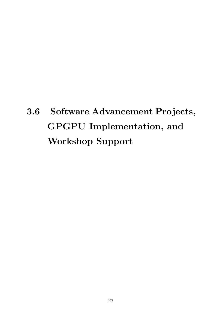# **3.6 Software Advancement Projects, GPGPU Implementation, and Workshop Support**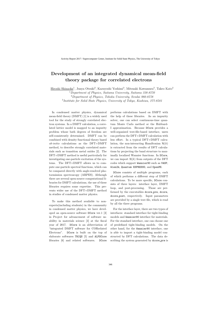## Development of an integrated dynamical mean-field theory package for correlated electrons

Hiroshi Shinaoka<sup>1</sup>, Junya Otsuki<sup>2</sup>, Kazuyoshi Yoshimi<sup>3</sup>, Mitsuaki Kawamura<sup>3</sup>, Takeo Kato<sup>3</sup> <sup>1</sup>Department of Physics, Saitama University, Saitama 338-8570 <sup>2</sup>Department of Physics, Tohoku University, Sendai 980-8578

3 Institute for Solid State Physics, University of Tokyo, Kashiwa, 277-8581

In condensed matter physics, dynamical mean-field theory (DMFT) [1] is a widely used tool for the study of strongly correlated electron systems. In a DMFT calculation, a correlated lattice model is mapped to an impurity problem whose bath degrees of freedom are self-consistently determined. DMFT can be combined with density functional theory based ab-initio calculations as the DFT+DMFT method, to describe strongly correlated materials such as transition metal oxides [2]. The DFT+DMFT method is useful particularly for investigating one-particle excitation of the systems. The DFT+DMFT allows us to compute one-particle spectral functions, which can be compared directly with angle-resolved photoemission spectroscopy (ARPES). Although there are several open-source computational libraries for DMFT calculations, the use of these libraries requires some expertise. This prevents wider use of the DFT+DMFT method in studies of condensed matter physics.

To make this method available to nonexperts(including students) in the community in condensed matter physics, we have developed an open-source software DCore ver.1 [3] in Project for advancement of software usability in materials science [3] at the fiscal year of 2017. DCore is an abbreviation of "integrated DMFT software for CORrelated Electrons". DCore is built on the top of elaborate softwares TRIQS [5] and ALPSCore libraries [6] and related softwares. DCore

performs calculations based on DMFT with the help of these libraries. As an impurity solver, one can select continuous-time quantum Monte Carlo method or the Hubbard-I approximation. Because DCore provides a well-organized text-file-based interface, users can perform the DFT+DMFT calculation with less effort. In a typical DFT+DMFT calculation, the non-interacting Hamiltonian  $\mathcal{H}(k)$ is extracted from the results of DFT calculations by projecting the band structure to maximally localized Wannier functions. In DCore, we can import  $\mathcal{H}(k)$  from outputs of the DFT codes which support Wannier90 such as VASP, Wien2k, Quantum ESPRESSO, and OpenMX.

DCore consists of multiple programs, each of which performs a different step of DMFT calculations. To be more specific, DCore consists of three layers: interface layer, DMFT loop, and post-processing. Those are performed by the executables dcore pre, dcore, dcore post, respectively. Input parameters are provided by a single text file, which is read by all the three programs.

For the interface layer, there are two types of interfaces: standard interface for tight-binding models and Wannier90 interface for materials. For the standard interface, one can choose one of predefined tight-binding models. On the other hand, for the Wannier90 interface, one is able to import a tight-binding model constructed by DFT calculations. The data describing the system generated by dcore\_pre is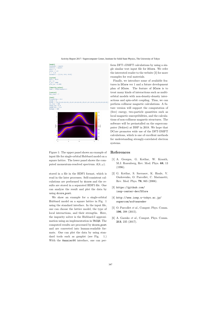

Figure 1: The upper panel shows an example of Refe input file for single-orbital Hubbard model on a square lattice. The lower panel shows the computed momentum-resolved spectrum  $A(k, \omega)$ .

stored in a file in the HDF5 format, which is read in the later processes. Self-consistent calculations are performed by dcore and the results are stored in a separated HDF5 file. One can analyze the result and plot the data by using dcore post.

We show an example for a single-orbital Hubbard model on a square lattice in Fig. 1 using the standard interface. In the input file, one can choose the lattice model, the type of local interactions, and their strengths. Here, the impurity solver is the Hubbard-I approximation using an implementation in TRIQS. The computed results are processed by dcore post and are converted into human-readable formats. One can plot the data by using standard tools such as gnuplot (see Fig. 1.) With the Wannier90 interface, one can per-

form DFT+DMFT calculations by using a single similar text input file for DCore. We refer the interested reader to the website [3] for more examples for real materials.

Finally, we introduce some of available features in DCore ver 1 and a future development plan of DCore. The feature of DCore is to treat many kinds of interactions such as multiorbital models with non-density-density interactions and spin-orbit coupling. Thus, we can perform collinear magnetic calculations. A future version will support the computation of (free) energy, two-particle quantities such as local magnetic susceptibilities, and the calculasoftware will be preinstalled on the supercomputer (Sekirei) at ISSP in 2018. We hope that DCore promotes wide use of the DFT-DMFT calculations, which is one of excellent methods systems.

#### References

- [1] A. Georges, G. Kotliar, W. Krauth, M.J. Rozenberg, Rev. Mod. Phys. 68, 13 (1996).
- [2] G. Kotliar, S. Savrasov, K. Haule, V. Oudovenko, O. Parcollet, C. Marianetti, Rev. Mod. Phys. 78, 865 (2006).
- [3] https://github.com/ issp-center-dev/DCore
- [4] http://www.issp.u-tokyo.ac.jp/ supercom/softwaredev
- [5] O. Parcollet *et al.*, Comput. Phys. Comm. 196, 398 (2015).
- [6] A. Gaenko et al., Comput. Phys. Comm. 213, 235 (2017).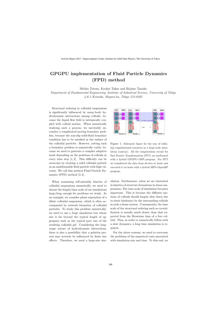## GPGPU implementation of Fluid Particle Dynamics (FPD) method

Michio Tateno, Kyohei Takae and Hajime Tanaka Department of Fundamental Engineering, Institute of Industrial Science, University of Tokyo 4-6-1 Komaba, Meguro-ku, Tokyo 153-8505

Structural ordering in colloidal suspensions is significantly influenced by many-body hydrodynamic interactions among colloids, because the liquid flow field is intrinsically coupled with colloid motion. When numerically studying such a process, we inevitably encounter a complicated moving boundary problem, because the non-slip solid-fluid boundary condition has to be satisfied at the surface of the colloidal particles. However, solving such a boundary problem is numerically costly, because we need to generate a complex adaptive mesh depending on the positions of colloids at every time step  $[1, 2]$ . This difficulty can be overcome by treating a solid colloidal particle as an undeformable fluid particle with high viscosity. We call this method Fluid Particle Dynamics (FPD) method [3, 4].

When examining self-assembly kinetics of colloidal suspensions numerically, we need to choose the length/time scale of our simulations large/long enough for problems we study. As an example, we consider phase separation of a dilute colloidal suspension, which is often accompanied by network formation of colloidal particles. To study this problem numerically, we need to use a large simulation box whose size is far beyond the typical length of aggregates such as the typical pore size of the resulting colloidal gel. Considering the longrange nature of hydrodynamic interactions, there is also a possibility that a gelation process may severely be influenced by finite size effects. Therefore, we need a large-size sim-



Figure 1: Schematic figure for the way of utilizing computational resources in a large-scale simulation  $(case(a))$ . All the computations except for Fast Fourier Transformation (FFT) are performed with a hybrid GPGPU+MPI program. For FFT we transferred the data from devices to hosts and executed it on hosts with a hybrid MPI+OpenMP program.

ulation. Furthermore, when we are interested in kinetics of structure formations in dense suspensions, The time scale of simulation becomes important. This is because the diffusive motions of colloids should largely slow down due to steric hindrance by the surrounding colloids in such a dense system. Consequently, the time scale of the structural ordering such as crystallization is usually much slower than that expected from the Brownian time of a free colloid. Thus, in order to numerically follow such a slow dynamics, a long time simulation is required.

For the above reasons, we need to overcome the problems of the numerical costs associated with simulation size and time. To this end, we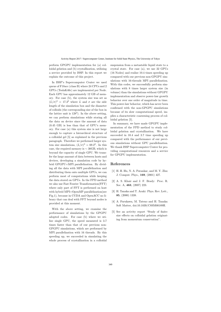perform GPGPU implementation for (a) colloidal gelation and (b) crystallization, utilizing a service provided by ISSP. In this report we explain the outcome of this project.

In ISSP's Supercomputer Center we used queue of F18acc (class B) where 24 CPUs and 2 GPUs (TeslaK40c) are implemented per Node. Each GPU has approximately 12 GB of memory. For case (b), the system size was set as  $(L/\sigma)^3 = 17.3^3$  where L and  $\sigma$  are the side length of the simulation box and the diameter of colloids (the corresponding size of the box in the lattice unit is  $128<sup>3</sup>$ ). In the above setting, we can perform simulations while storing all the data on device since the amount of data (0.45 GB) is less than that of GPU's memory. For case (a) this system size is not large enough to capture a hierarchical structure of a colloidal gel [5] as explained in the previous paragraph. Therefore we performed larger system size simulations,  $(L/\sigma)^3 = 69.2^3$ . In this case, the required memory is  $\sim$  30GB, which is beyond the capacity of single GPU. We transfer the large amount of data between hosts and devices, developing a simulation code by hybrid GPGPU+MPI parallelization. By dividing all the data with MPI parallelization and distributing them onto multiple GPUs, we can perform most of computations while keeping the data stored on GPUs. In the FPD method we also use Fast Fourier Transformation(FFT) where only part of FFT is performed on host with hybrid MPI+OpenMP parallelization(see Fig.1), because in CUDA and OpenACC no library that can deal with FFT beyond nodes is provided at this moment.

With the above setting, we examine the performance of simulations by the GPGPU adopted codes. For case (b) where we utilize single GPU, the speed measured is 3.7 times faster than that of our previous non-GPGPU simulations, which are performed by MPI parallelization with 16 threads. By this speeding up, we succeeded in simulating the whole process of crystallization in a colloidal

suspension from a metastable liquid state to a crystal state. For case (a), we use 32 GPUs (16 Nodes) and realize 10.4 times speeding up compared with our previous non-GPGPU simulations with 16-threads MPI parallelization. With this codes, we successfully perform simulations with 8 times larger system size (in volume) than the simulations without GPGPU implementation and observe power-law growth behavior over one order of magnitude in time. This power-law behavior, which has never been confirmed with the non-GPGPU simulations because of its slow computational speed, implies a characteristic coarsening process of colloidal gelation [5].

In summary, we have made GPGPU implementation of the FPD method to study colloidal gelation and crystallization. We have succeeded in 10.4 and 3.7 time speeding up compared with the performance of our previous simulations without GPU parallelization. We thank ISSP Supercomputer Center for providing computational resources and a service for GPGPU implementation.

#### References

- [1] H. H. Hu, N. A. Patankar, and M. Y. Zhu: J. Comput. Phys., 169, (2001) 427.
- [2] A. S. Khair and J. F. Brady: Proc. R. Soc. A, 463, (2007) 223.
- [3] H. Tanaka and T. Araki: Phys. Rev. Lett., 85, (2000) 1338.
- [4] A. Furukawa, M. Tateno and H. Tanaka: Soft Matter, doi:10.1039/C8SM00189H.
- [5] See an activity report "Study of finitesize effects on colloidal gelation originating from momentum conservation".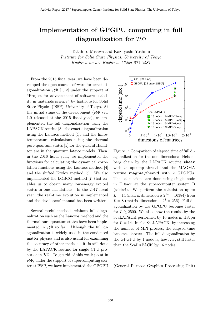## **Implementation of GPGPU computing in full diagonalization for** *H*Φ

Takahiro Misawa and Kazuyoshi Yoshimi *Institute for Solid State Physics, University of Tokyo Kashiwa-no-ha, Kashiwa, Chiba 277-8581*

From the 2015 fiscal year, we have been developed the open-source software for exact diagonalization  $\mathcal{H}\Phi$  [1, 2] under the support of "Project for advancement of software usability in materials science" by Institute for Solid State Physics (ISSP), University of Tokyo. At the initial stage of the development  $(\mathcal{H}\Phi)$  ver. 1.0 released at the 2015 fiscal year), we implemented the full diagonalization using the LAPACK routine [3], the exact diagonalization using the Lanczos method [4], and the finitetemperature calculations using the thermal pure quantum states [5] for the general Hamiltonians in the quantum lattice models. Then, in the 2016 fiscal year, we implemented the functions for calculating the dynamical correlation functions using the Lanczos method [4] and the shifted Krylov method [6]. We also implemented the LOBCG method [7] that enables us to obtain many low-energy excited states in one calculations. In the 2017 fiscal year, the real-time evolution is implemented and the developers' manual has been written.

Several useful methods without full diagonalization such as the Lanczos method and the thermal pure quantum states have been implemented in  $H\Phi$  so far. Although the full diagonalization is widely used in the condensed matter physics and is also useful for examining the accuracy of other methods, it is still done by the LAPACK routine for single CPU processor in *H*Φ. To get rid of this weak point in *H*Φ, under the support of supercomputing center at ISSP, we have implemented the GPGPU



Figure 1: Comparison of elapsed time of full diagonalization for the one-dimensional Heisenberg chain by the LAPACK routine **zheev** with 24 openmp threads and the MAGMA routine **magma zheevd** with 2 GPGPUs. The calculations are done using single node in F18acc at the supercomputer system B (sekirei). We perform the calculation up to  $L = 14$  (matrix dimension is  $2^{14} = 16384$ ) from  $L = 8$  (matrix dimension is  $2^8 = 256$ ). Full diagonalization by the GPGPU becomes faster for  $L \ge 2500$ . We also show the results by the ScaLAPACK performed by 16 nodes in i18cpu for  $L = 14$ . In the ScaLAPACK, by increasing the number of MPI process, the elapsed time becomes shorter. The full diagonalization by the GPGPU by 1 node is, however, still faster than the ScaLAPACK by 16 nodes.

(General Purpose Graphics Processing Unit)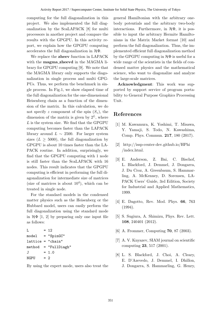computing for the full diagonalization in this project. We also implemented the full diagonalization by the ScaLAPACK [8] for multi processors in another project and compare the results with the GPGPU. In this activity report, we explain how the GPGPU computing accelerates the full diagonalization in *H*Φ.

We replace the **zheev** function in LAPACK with the **magma zheevd** in the MAGMA library for GPGPU computing [9]. We note that the MAGMA library only supports the diagonalization in single process and multi GPG-PUs. Thus, we perform the benchmark in single process. In Fig.1, we show elapsed time of the full diagonalization for the one-dimensional Heisenberg chain as a function of the dimension of the matrix. In this calculation, we do not specify *z* component of the spin  $(S_z)$ , the dimension of the matrix is given by  $2^L$ , where *L* is the system size. We find that the GPGPU computing becomes faster than the LAPACK library around  $L \sim 2500$ . For larger system sizes  $(L \geq 5000)$ , the full diagonalization by GPGPU is about 10 times faster than the LA-PACK routine. In addition, surprisingly, we find that the GPGPU computing with 1 node is still faster than the ScaLAPACK with 16 nodes. This result indicates that the GPGPU computing is efficient in performing the full diagonalization for intermediate size of matrices (size of matrices is about  $10^4$ ), which can be treated in single node.

For the standard models in the condensed matter physics such as the Heisenberg or the Hubbard model, users can easily perform the full diagonalization using the standard mode in  $\mathcal{H}\Phi$  [1, 2] by preparing only one input file as follows:

```
L = 12model = "SpinGC"
lattice = "chain"
method = "FullDiagh"
J = 1.0NGPU = 2
```
By using the expert mode, users also treat the

general Hamiltonian with the arbitrary onebody potentials and the arbitrary two-body interactions. Furthermore, in *H*Φ, it is possible to input the arbitrary Hermite Hamiltonians in the Matrix Market format [10] and perform the full diagonalization. Thus, the implemented efficient full diagonalization method by the GPGPU computing in *H*Φ is useful for a wide range of the scientists in the fields of condensed matter physics and the mathematical science, who want to diagonalize and analyze the large-scale matrices.

**Acknowledgment**: This work was supported by support service of program portability to General Purpose Graphics Processing Unit.

### **References**

- [1] M. Kawamura, K. Yoshimi, T. Misawa, Y. Yamaji, S. Todo, N. Kawashima, Comp. Phys. Commun. **217**, 180 (2017).
- [2] http://issp-center-dev.github.io/HPhi /index.html.
- [3] E. Anderson, Z. Bai, C. Bischof, L. Blackford, J. Demmel, J. Dongarra, J. Du Croz, A. Greenbaum, S. Hammarling, A. McKenney, D. Sorensen, LA-PACK Users' Guide, 3rd Edition, Society for Industrial and Applied Mathematics, 1999.
- [4] E. Dagotto, Rev. Mod. Phys. **66**, 763 (1994).
- [5] S. Sugiura, A. Shimizu, Phys. Rev. Lett. **108**, 240401 (2012).
- [6] A. Frommer, Computing **70**, 87 (2003).
- [7] A. V. Knyazev, SIAM journal on scientific computing **23**, 517 (2001).
- [8] L. S. Blackford, J. Choi, A. Cleary, E. D'Azevedo, J. Demmel, I. Dhillon, J. Dongarra, S. Hammarling, G. Henry,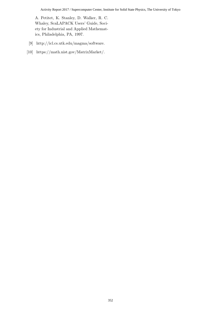#### Activity Report 2017 / Supercomputer Center, Institute for Solid State Physics, The University of Tokyo

A. Petitet, K. Stanley, D. Walker, R. C. Whaley, ScaLAPACK Users' Guide, Society for Industrial and Applied Mathematics, Philadelphia, PA, 1997.

- [9] http://icl.cs.utk.edu/magma/software.
- [10] https://math.nist.gov/MatrixMarket/.